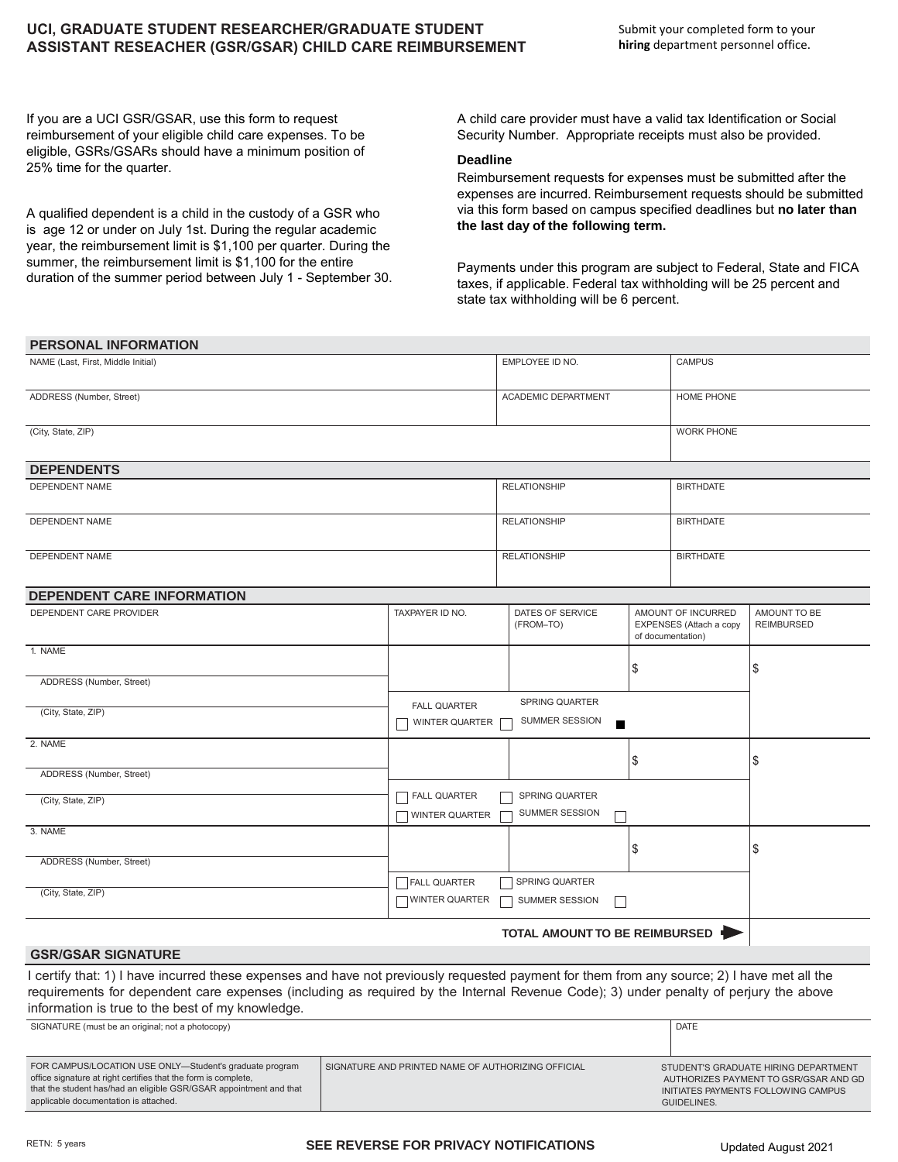## **UCI, GRADUATE STUDENT RESEARCHER/GRADUATE STUDENT ASSISTANT RESEACHER (GSR/GSAR) CHILD CARE REIMBURSEMENT**

If you are a UCI GSR/GSAR, use this form to request reimbursement of your eligible child care expenses. To be eligible, GSRs/GSARs should have a minimum position of 25% time for the quarter.

A qualified dependent is a child in the custody of a GSR who is age 12 or under on July 1st. During the regular academic year, the reimbursement limit is \$1,100 per quarter. During the summer, the reimbursement limit is \$1,100 for the entire duration of the summer period between July 1 - September 30. A child care provider must have a valid tax Identification or Social Security Number. Appropriate receipts must also be provided.

## **Deadline**

Reimbursement requests for expenses must be submitted after the expenses are incurred. Reimbursement requests should be submitted via this form based on campus specified deadlines but **no later than the last day of the following term.** 

Payments under this program are subject to Federal, State and FICA taxes, if applicable. Federal tax withholding will be 25 percent and state tax withholding will be 6 percent.

| <b>PERSONAL INFORMATION</b>                                                                                                                                                                                                                                                         |                                                    |                                                |                                                                    |                   |                                                                                |
|-------------------------------------------------------------------------------------------------------------------------------------------------------------------------------------------------------------------------------------------------------------------------------------|----------------------------------------------------|------------------------------------------------|--------------------------------------------------------------------|-------------------|--------------------------------------------------------------------------------|
| NAME (Last, First, Middle Initial)                                                                                                                                                                                                                                                  |                                                    | EMPLOYEE ID NO.                                |                                                                    | <b>CAMPUS</b>     |                                                                                |
| ADDRESS (Number, Street)                                                                                                                                                                                                                                                            |                                                    | <b>ACADEMIC DEPARTMENT</b>                     |                                                                    | HOME PHONE        |                                                                                |
| (City, State, ZIP)                                                                                                                                                                                                                                                                  |                                                    |                                                |                                                                    | <b>WORK PHONE</b> |                                                                                |
|                                                                                                                                                                                                                                                                                     |                                                    |                                                |                                                                    |                   |                                                                                |
| <b>DEPENDENTS</b><br>DEPENDENT NAME                                                                                                                                                                                                                                                 |                                                    |                                                |                                                                    |                   |                                                                                |
|                                                                                                                                                                                                                                                                                     |                                                    | <b>RELATIONSHIP</b>                            |                                                                    | <b>BIRTHDATE</b>  |                                                                                |
| DEPENDENT NAME                                                                                                                                                                                                                                                                      |                                                    | <b>RELATIONSHIP</b>                            |                                                                    | <b>BIRTHDATE</b>  |                                                                                |
| <b>DEPENDENT NAME</b>                                                                                                                                                                                                                                                               |                                                    | <b>RELATIONSHIP</b>                            |                                                                    | <b>BIRTHDATE</b>  |                                                                                |
| <b>DEPENDENT CARE INFORMATION</b>                                                                                                                                                                                                                                                   |                                                    |                                                |                                                                    |                   |                                                                                |
| DEPENDENT CARE PROVIDER                                                                                                                                                                                                                                                             | TAXPAYER ID NO.                                    | DATES OF SERVICE<br>(FROM-TO)                  | AMOUNT OF INCURRED<br>EXPENSES (Attach a copy<br>of documentation) |                   | AMOUNT TO BE<br><b>REIMBURSED</b>                                              |
| 1. NAME                                                                                                                                                                                                                                                                             |                                                    |                                                | \$<br>\$                                                           |                   |                                                                                |
| ADDRESS (Number, Street)                                                                                                                                                                                                                                                            |                                                    |                                                |                                                                    |                   |                                                                                |
| (City, State, ZIP)                                                                                                                                                                                                                                                                  | <b>FALL QUARTER</b><br>WINTER QUARTER              | SPRING QUARTER<br>SUMMER SESSION<br>п          |                                                                    |                   |                                                                                |
| 2. NAME                                                                                                                                                                                                                                                                             |                                                    |                                                | \$                                                                 |                   | \$                                                                             |
| ADDRESS (Number, Street)                                                                                                                                                                                                                                                            |                                                    |                                                |                                                                    |                   |                                                                                |
| (City, State, ZIP)                                                                                                                                                                                                                                                                  | <b>FALL QUARTER</b><br>WINTER QUARTER              | <b>SPRING QUARTER</b><br><b>SUMMER SESSION</b> |                                                                    |                   |                                                                                |
| 3. NAME                                                                                                                                                                                                                                                                             |                                                    |                                                | \$                                                                 |                   | \$                                                                             |
| ADDRESS (Number, Street)                                                                                                                                                                                                                                                            |                                                    |                                                |                                                                    |                   |                                                                                |
| (City, State, ZIP)                                                                                                                                                                                                                                                                  | FALL QUARTER<br>WINTER QUARTER                     | SPRING QUARTER<br>SUMMER SESSION<br>П          |                                                                    |                   |                                                                                |
|                                                                                                                                                                                                                                                                                     |                                                    | TOTAL AMOUNT TO BE REIMBURSED                  |                                                                    |                   |                                                                                |
| <b>GSR/GSAR SIGNATURE</b>                                                                                                                                                                                                                                                           |                                                    |                                                |                                                                    |                   |                                                                                |
| I certify that: 1) I have incurred these expenses and have not previously requested payment for them from any source; 2) I have met all the<br>requirements for dependent care expenses (including as required by the Internal Revenue Code); 3) under penalty of perjury the above |                                                    |                                                |                                                                    |                   |                                                                                |
| information is true to the best of my knowledge.                                                                                                                                                                                                                                    |                                                    |                                                |                                                                    |                   |                                                                                |
| SIGNATURE (must be an original; not a photocopy)                                                                                                                                                                                                                                    | <b>DATE</b>                                        |                                                |                                                                    |                   |                                                                                |
| FOR CAMPUS/LOCATION USE ONLY-Student's graduate program<br>office signature at right certifies that the form is complete.                                                                                                                                                           | SIGNATURE AND PRINTED NAME OF AUTHORIZING OFFICIAL |                                                |                                                                    |                   | STUDENT'S GRADUATE HIRING DEPARTMENT<br>ALITHORIZES PAYMENT TO GSRIGSAR AND GD |

that the student has/had an eligible GSR/GSAR appointment and that

applicable documentation is attached.

INITIATES PAYMENTS FOLLOWING CAMPUS

GUIDELINES.